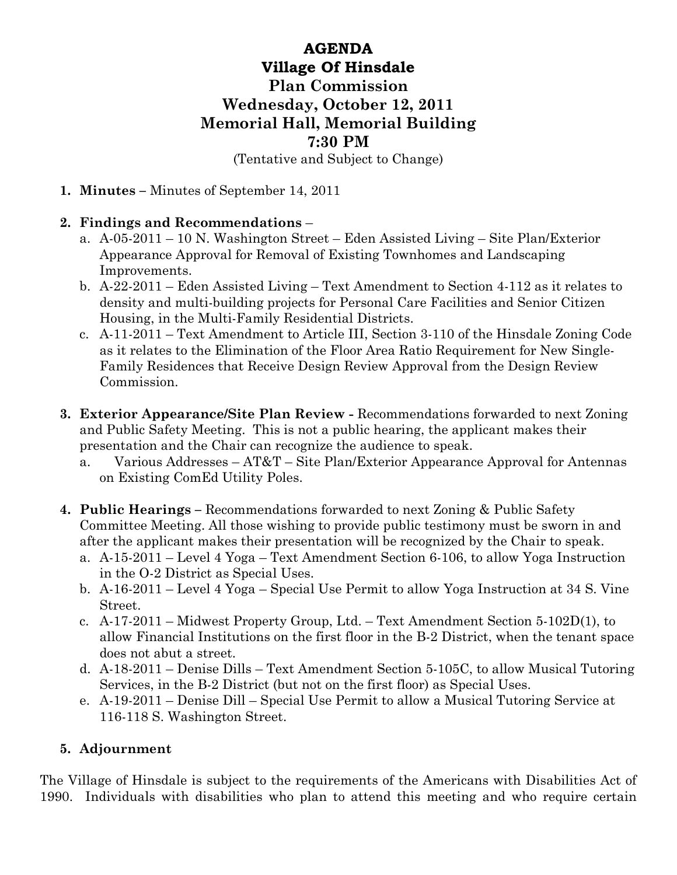## AGENDA Village Of Hinsdale Plan Commission Wednesday, October 12, 2011 Memorial Hall, Memorial Building 7:30 PM (Tentative and Subject to Change)

1. Minutes – Minutes of September 14, 2011

## 2. Findings and Recommendations –

- a. A-05-2011 10 N. Washington Street Eden Assisted Living Site Plan/Exterior Appearance Approval for Removal of Existing Townhomes and Landscaping Improvements.
- b. A-22-2011 Eden Assisted Living Text Amendment to Section 4-112 as it relates to density and multi-building projects for Personal Care Facilities and Senior Citizen Housing, in the Multi-Family Residential Districts.
- c. A-11-2011 Text Amendment to Article III, Section 3-110 of the Hinsdale Zoning Code as it relates to the Elimination of the Floor Area Ratio Requirement for New Single-Family Residences that Receive Design Review Approval from the Design Review Commission.
- 3. Exterior Appearance/Site Plan Review Recommendations forwarded to next Zoning and Public Safety Meeting. This is not a public hearing, the applicant makes their presentation and the Chair can recognize the audience to speak.
	- a. Various Addresses AT&T Site Plan/Exterior Appearance Approval for Antennas on Existing ComEd Utility Poles.
- 4. Public Hearings Recommendations forwarded to next Zoning & Public Safety Committee Meeting. All those wishing to provide public testimony must be sworn in and after the applicant makes their presentation will be recognized by the Chair to speak.
	- a. A-15-2011 Level 4 Yoga Text Amendment Section 6-106, to allow Yoga Instruction in the O-2 District as Special Uses.
	- b. A-16-2011 Level 4 Yoga Special Use Permit to allow Yoga Instruction at 34 S. Vine Street.
	- c. A-17-2011 Midwest Property Group, Ltd. Text Amendment Section 5-102D(1), to allow Financial Institutions on the first floor in the B-2 District, when the tenant space does not abut a street.
	- d. A-18-2011 Denise Dills Text Amendment Section 5-105C, to allow Musical Tutoring Services, in the B-2 District (but not on the first floor) as Special Uses.
	- e. A-19-2011 Denise Dill Special Use Permit to allow a Musical Tutoring Service at 116-118 S. Washington Street.

## 5. Adjournment

The Village of Hinsdale is subject to the requirements of the Americans with Disabilities Act of 1990. Individuals with disabilities who plan to attend this meeting and who require certain